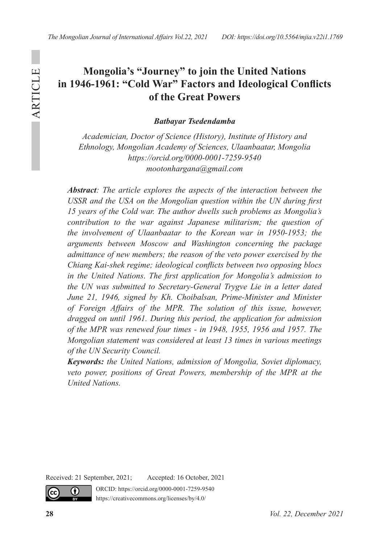# **Mongolia's "Journey" to join the United Nations in 1946-1961: "Cold War" Factors and Ideological Conflicts of the Great Powers**

*Batbayar Tsedendamba*

*Academician, Doctor of Science (History), Institute of History and Ethnology, Mongolian Academy of Sciences, Ulaanbaatar, Mongolia https://orcid.org/0000-0001-7259-9540 mootonhargana@gmail.com*

*Abstract: The article explores the aspects of the interaction between the USSR and the USA on the Mongolian question within the UN during first 15 years of the Cold war. The author dwells such problems as Mongolia's contribution to the war against Japanese militarism; the question of the involvement of Ulaanbaatar to the Korean war in 1950-1953; the arguments between Moscow and Washington concerning the package admittance of new members; the reason of the veto power exercised by the Chiang Kai-shek regime; ideological conflicts between two opposing blocs in the United Nations*. *The first application for Mongolia's admission to the UN was submitted to Secretary-General Trygve Lie in a letter dated June 21, 1946, signed by Kh. Choibalsan, Prime-Minister and Minister of Foreign Affairs of the MPR. The solution of this issue, however, dragged on until 1961. During this period, the application for admission of the MPR was renewed four times - in 1948, 1955, 1956 and 1957. The Mongolian statement was considered at least 13 times in various meetings of the UN Security Council.*

*Keywords: the United Nations, admission of Mongolia, Soviet diplomacy,*  veto power, positions of Great Powers, membership of the MPR at the *United Nations.*

Received: 21 September, 2021; Accepted: 16 October, 2021

ORCID: https://orcid.org/0000-0001-7259-9540 https://creativecommons.org/licenses/by/4.0/

cc)

 $\bf{r}$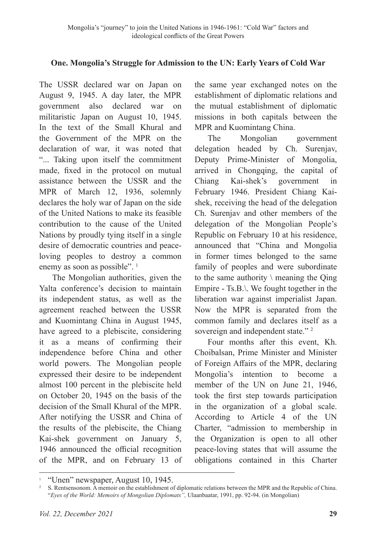# **One. Mongolia's Struggle for Admission to the UN: Early Years of Cold War**

The USSR declared war on Japan on August 9, 1945. A day later, the MPR government also declared war on militaristic Japan on August 10, 1945. In the text of the Small Khural and the Government of the MPR on the declaration of war, it was noted that "... Taking upon itself the commitment made, fixed in the protocol on mutual assistance between the USSR and the MPR of March 12, 1936, solemnly declares the holy war of Japan on the side of the United Nations to make its feasible contribution to the cause of the United Nations by proudly tying itself in a single desire of democratic countries and peaceloving peoples to destroy a common enemy as soon as possible".<sup>1</sup>

The Mongolian authorities, given the Yalta conference's decision to maintain its independent status, as well as the agreement reached between the USSR and Kuomintang China in August 1945, have agreed to a plebiscite, considering it as a means of confirming their independence before China and other world powers. The Mongolian people expressed their desire to be independent almost 100 percent in the plebiscite held on October 20, 1945 on the basis of the decision of the Small Khural of the MPR. After notifying the USSR and China of the results of the plebiscite, the Chiang Kai-shek government on January 5, 1946 announced the official recognition of the MPR, and on February 13 of the same year exchanged notes on the establishment of diplomatic relations and the mutual establishment of diplomatic missions in both capitals between the MPR and Kuomintang China.

The Mongolian government delegation headed by Ch. Surenjav, Deputy Prime-Minister of Mongolia, arrived in Chongqing, the capital of Chiang Kai-shek's government in February 1946. President Chiang Kaishek, receiving the head of the delegation Ch. Surenjav and other members of the delegation of the Mongolian People's Republic on February 10 at his residence, announced that "China and Mongolia in former times belonged to the same family of peoples and were subordinate to the same authority  $\langle$  meaning the Qing Empire - Ts.B.\. We fought together in the liberation war against imperialist Japan. Now the MPR is separated from the common family and declares itself as a sovereign and independent state."<sup>2</sup>

Four months after this event, Kh. Choibalsan, Prime Minister and Minister of Foreign Affairs of the MPR, declaring Mongolia's intention to become a member of the UN on June 21, 1946, took the first step towards participation in the organization of a global scale. According to Article 4 of the UN Charter, "admission to membership in the Organization is open to all other peace-loving states that will assume the obligations contained in this Charter

<sup>&</sup>lt;sup>1</sup> "Unen" newspaper, August 10, 1945.

<sup>&</sup>lt;sup>2</sup> S. Rentsensonom. A memoir on the establishment of diplomatic relations between the MPR and the Republic of China. "*Eyes of the World: Memoirs of Mongolian Diplomats",* Ulaanbaatar, 1991, pp. 92-94. (in Mongolian)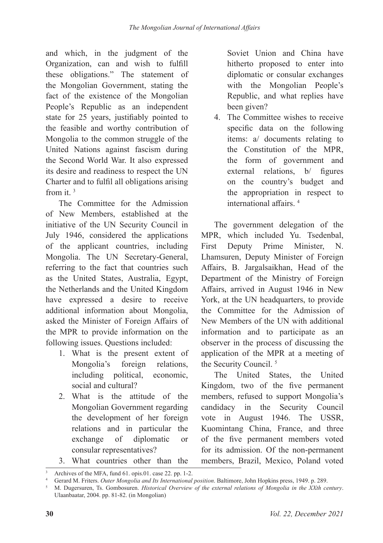and which, in the judgment of the Organization, can and wish to fulfill these obligations." The statement of the Mongolian Government, stating the fact of the existence of the Mongolian People's Republic as an independent state for 25 years, justifiably pointed to the feasible and worthy contribution of Mongolia to the common struggle of the United Nations against fascism during the Second World War. It also expressed its desire and readiness to respect the UN Charter and to fulfil all obligations arising from it.  $3$ 

The Committee for the Admission of New Members, established at the initiative of the UN Security Council in July 1946, considered the applications of the applicant countries, including Mongolia. The UN Secretary-General, referring to the fact that countries such as the United States, Australia, Egypt, the Netherlands and the United Kingdom have expressed a desire to receive additional information about Mongolia, asked the Minister of Foreign Affairs of the MPR to provide information on the following issues. Questions included:

- 1. What is the present extent of Mongolia's foreign relations, including political, economic, social and cultural?
- 2. What is the attitude of the Mongolian Government regarding the development of her foreign relations and in particular the exchange of diplomatic or consular representatives?

Soviet Union and China have hitherto proposed to enter into diplomatic or consular exchanges with the Mongolian People's Republic, and what replies have been given?

4. The Committee wishes to receive specific data on the following items: a/ documents relating to the Constitution of the MPR, the form of government and external relations, b/ figures on the country's budget and the appropriation in respect to international affairs. <sup>4</sup>

The government delegation of the MPR, which included Yu. Tsedenbal, First Deputy Prime Minister, N. Lhamsuren, Deputy Minister of Foreign Affairs, B. Jargalsaikhan, Head of the Department of the Ministry of Foreign Affairs, arrived in August 1946 in New York, at the UN headquarters, to provide the Committee for the Admission of New Members of the UN with additional information and to participate as an observer in the process of discussing the application of the MPR at a meeting of the Security Council. 5

The United States, the United Kingdom, two of the five permanent members, refused to support Mongolia's candidacy in the Security Council vote in August 1946. The USSR, Kuomintang China, France, and three of the five permanent members voted for its admission. Of the non-permanent members, Brazil, Mexico, Poland voted

<sup>3.</sup> What countries other than the

Archives of the MFA, fund 61. opis.01. case 22. pp. 1-2.<br>Gerard M. Friters. *Outer Mongolia and Its International position*. Baltimore, John Hopkins press, 1949. p. 289.

M. Dugersuren, Ts. Gombosuren. Historical Overview of the external relations of Mongolia in the XXth century. Ulaanbaatar, 2004. pp. 81-82. (in Mongolian)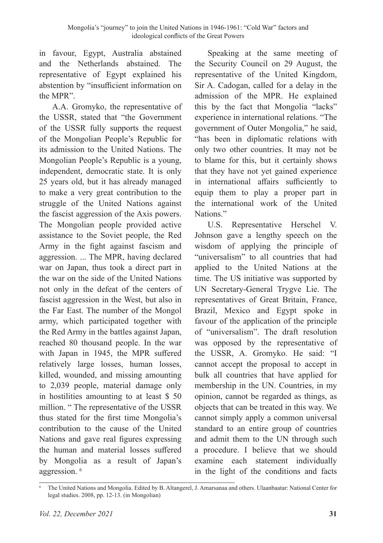in favour, Egypt, Australia abstained and the Netherlands abstained. The representative of Egypt explained his abstention by "insufficient information on the MPR".

A.A. Gromyko, the representative of the USSR, stated that "the Government of the USSR fully supports the request of the Mongolian People's Republic for its admission to the United Nations. The Mongolian People's Republic is a young, independent, democratic state. It is only 25 years old, but it has already managed to make a very great contribution to the struggle of the United Nations against the fascist aggression of the Axis powers. The Mongolian people provided active assistance to the Soviet people, the Red Army in the fight against fascism and aggression. ... The MPR, having declared war on Japan, thus took a direct part in the war on the side of the United Nations not only in the defeat of the centers of fascist aggression in the West, but also in the Far East. The number of the Mongol army, which participated together with the Red Army in the battles against Japan, reached 80 thousand people. In the war with Japan in 1945, the MPR suffered relatively large losses, human losses, killed, wounded, and missing amounting to 2,039 people, material damage only in hostilities amounting to at least \$ 50 million. " The representative of the USSR thus stated for the first time Mongolia's contribution to the cause of the United Nations and gave real figures expressing the human and material losses suffered by Mongolia as a result of Japan's aggression. 6

Speaking at the same meeting of the Security Council on 29 August, the representative of the United Kingdom, Sir A. Cadogan, called for a delay in the admission of the MPR. He explained this by the fact that Mongolia "lacks" experience in international relations. "The government of Outer Mongolia," he said, "has been in diplomatic relations with only two other countries. It may not be to blame for this, but it certainly shows that they have not yet gained experience in international affairs sufficiently to equip them to play a proper part in the international work of the United Nations."

U.S. Representative Herschel V. Johnson gave a lengthy speech on the wisdom of applying the principle of "universalism" to all countries that had applied to the United Nations at the time. The US initiative was supported by UN Secretary-General Trygve Lie. The representatives of Great Britain, France, Brazil, Mexico and Egypt spoke in favour of the application of the principle of "universalism". The draft resolution was opposed by the representative of the USSR, A. Gromyko. He said: "I cannot accept the proposal to accept in bulk all countries that have applied for membership in the UN. Countries, in my opinion, cannot be regarded as things, as objects that can be treated in this way. We cannot simply apply a common universal standard to an entire group of countries and admit them to the UN through such a procedure. I believe that we should examine each statement individually in the light of the conditions and facts

<sup>6</sup> The United Nations and Mongolia. Edited by B. Altangerel, J. Amarsanaa and others. Ulaanbaatar: National Center for legal studies. 2008, pp. 12-13. (in Mongolian)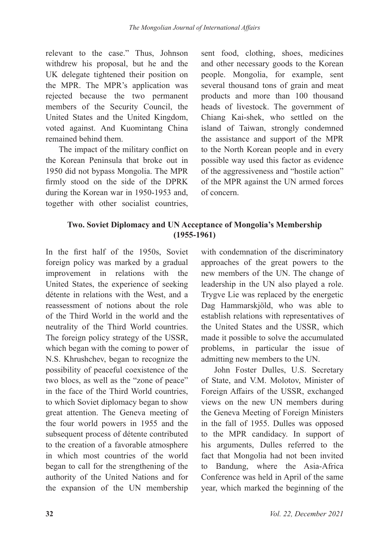relevant to the case." Thus, Johnson withdrew his proposal, but he and the UK delegate tightened their position on the MPR. The MPR's application was rejected because the two permanent members of the Security Council, the United States and the United Kingdom, voted against. And Kuomintang China remained behind them.

The impact of the military conflict on the Korean Peninsula that broke out in 1950 did not bypass Mongolia. The MPR firmly stood on the side of the DPRK during the Korean war in 1950-1953 and, together with other socialist countries, sent food, clothing, shoes, medicines and other necessary goods to the Korean people. Mongolia, for example, sent several thousand tons of grain and meat products and more than 100 thousand heads of livestock. The government of Chiang Kai-shek, who settled on the island of Taiwan, strongly condemned the assistance and support of the MPR to the North Korean people and in every possible way used this factor as evidence of the aggressiveness and "hostile action" of the MPR against the UN armed forces of concern.

# **Two. Soviet Diplomacy and UN Acceptance of Mongolia's Membership (1955-1961)**

In the first half of the 1950s, Soviet foreign policy was marked by a gradual improvement in relations with the United States, the experience of seeking détente in relations with the West, and a reassessment of notions about the role of the Third World in the world and the neutrality of the Third World countries. The foreign policy strategy of the USSR, which began with the coming to power of N.S. Khrushchev, began to recognize the possibility of peaceful coexistence of the two blocs, as well as the "zone of peace" in the face of the Third World countries, to which Soviet diplomacy began to show great attention. The Geneva meeting of the four world powers in 1955 and the subsequent process of détente contributed to the creation of a favorable atmosphere in which most countries of the world began to call for the strengthening of the authority of the United Nations and for the expansion of the UN membership

with condemnation of the discriminatory approaches of the great powers to the new members of the UN. The change of leadership in the UN also played a role. Trygve Lie was replaced by the energetic Dag Hammarskjöld, who was able to establish relations with representatives of the United States and the USSR, which made it possible to solve the accumulated problems, in particular the issue of admitting new members to the UN.

John Foster Dulles, U.S. Secretary of State, and V.M. Molotov, Minister of Foreign Affairs of the USSR, exchanged views on the new UN members during the Geneva Meeting of Foreign Ministers in the fall of 1955. Dulles was opposed to the MPR candidacy. In support of his arguments, Dulles referred to the fact that Mongolia had not been invited to Bandung, where the Asia-Africa Conference was held in April of the same year, which marked the beginning of the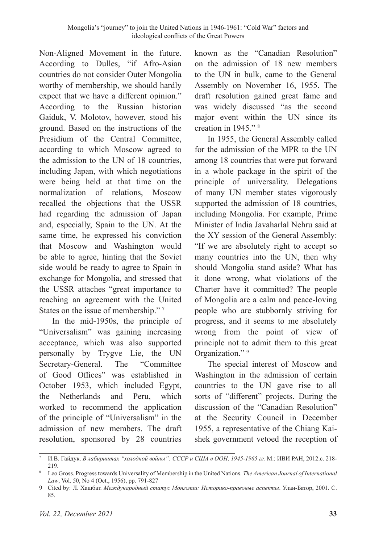Non-Aligned Movement in the future. According to Dulles, "if Afro-Asian countries do not consider Outer Mongolia worthy of membership, we should hardly expect that we have a different opinion." According to the Russian historian Gaiduk, V. Molotov, however, stood his ground. Based on the instructions of the Presidium of the Central Committee, according to which Moscow agreed to the admission to the UN of 18 countries, including Japan, with which negotiations were being held at that time on the normalization of relations, Moscow recalled the objections that the USSR had regarding the admission of Japan and, especially, Spain to the UN. At the same time, he expressed his conviction that Moscow and Washington would be able to agree, hinting that the Soviet side would be ready to agree to Spain in exchange for Mongolia, and stressed that the USSR attaches "great importance to reaching an agreement with the United States on the issue of membership."<sup>7</sup>

In the mid-1950s, the principle of "Universalism" was gaining increasing acceptance, which was also supported personally by Trygve Lie, the UN Secretary-General. The "Committee of Good Offices" was established in October 1953, which included Egypt, the Netherlands and Peru, which worked to recommend the application of the principle of "Universalism" in the admission of new members. The draft resolution, sponsored by 28 countries

known as the "Canadian Resolution" on the admission of 18 new members to the UN in bulk, came to the General Assembly on November 16, 1955. The draft resolution gained great fame and was widely discussed "as the second major event within the UN since its creation in 1945." 8

In 1955, the General Assembly called for the admission of the MPR to the UN among 18 countries that were put forward in a whole package in the spirit of the principle of universality. Delegations of many UN member states vigorously supported the admission of 18 countries, including Mongolia. For example, Prime Minister of India Javaharlal Nehru said at the XY session of the General Assembly: "If we are absolutely right to accept so many countries into the UN, then why should Mongolia stand aside? What has it done wrong, what violations of the Charter have it committed? The people of Mongolia are a calm and peace-loving people who are stubbornly striving for progress, and it seems to me absolutely wrong from the point of view of principle not to admit them to this great Organization."<sup>9</sup>

The special interest of Moscow and Washington in the admission of certain countries to the UN gave rise to all sorts of "different" projects. During the discussion of the "Canadian Resolution" at the Security Council in December 1955, a representative of the Chiang Kaishek government vetoed the reception of

<sup>7</sup> И.В. Гайдук. *В лабиринтах "холодной войны": СССР и США в ООН, 1945-1965 гг.* М.: ИВИ РАН, 2012.с. 218- 219.

<sup>8</sup> Leo Gross. Progress towards Universality of Membership in the United Nations. *The American Journal of International Law*, Vol. 50, No 4 (Oct., 1956), pp. 791-827

<sup>9</sup> Cited by: Л. Хашбат. *Международный статус Монголии: Историко-правовые аспекты*. Улан-Батор, 2001. С. 85.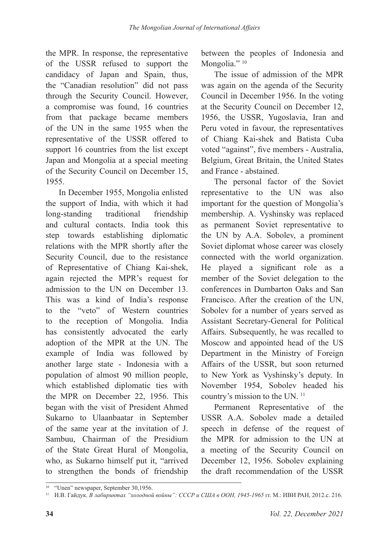the MPR. In response, the representative of the USSR refused to support the candidacy of Japan and Spain, thus, the "Canadian resolution" did not pass through the Security Council. However, a compromise was found, 16 countries from that package became members of the UN in the same 1955 when the representative of the USSR offered to support 16 countries from the list except Japan and Mongolia at a special meeting of the Security Council on December 15, 1955.

In December 1955, Mongolia enlisted the support of India, with which it had long-standing traditional friendship and cultural contacts. India took this step towards establishing diplomatic relations with the MPR shortly after the Security Council, due to the resistance of Representative of Chiang Kai-shek, again rejected the MPR's request for admission to the UN on December 13. This was a kind of India's response to the "veto" of Western countries to the reception of Mongolia. India has consistently advocated the early adoption of the MPR at the UN. The example of India was followed by another large state - Indonesia with a population of almost 90 million people, which established diplomatic ties with the MPR on December 22, 1956. This began with the visit of President Ahmed Sukarno to Ulaanbaatar in September of the same year at the invitation of J. Sambuu, Chairman of the Presidium of the State Great Hural of Mongolia, who, as Sukarno himself put it, "arrived to strengthen the bonds of friendship between the peoples of Indonesia and Mongolia."<sup>10</sup>

The issue of admission of the MPR was again on the agenda of the Security Council in December 1956. In the voting at the Security Council on December 12, 1956, the USSR, Yugoslavia, Iran and Peru voted in favour, the representatives of Chiang Kai-shek and Batista Cuba voted "against", five members - Australia, Belgium, Great Britain, the United States and France - abstained.

The personal factor of the Soviet representative to the UN was also important for the question of Mongolia's membership. A. Vyshinsky was replaced as permanent Soviet representative to the UN by A.A. Sobolev, a prominent Soviet diplomat whose career was closely connected with the world organization. He played a significant role as a member of the Soviet delegation to the conferences in Dumbarton Oaks and San Francisco. After the creation of the UN, Sobolev for a number of years served as Assistant Secretary-General for Political Affairs. Subsequently, he was recalled to Moscow and appointed head of the US Department in the Ministry of Foreign Affairs of the USSR, but soon returned to New York as Vyshinsky's deputy. In November 1954, Sobolev headed his country's mission to the UN.<sup>11</sup>

Permanent Representative of the USSR A.A. Sobolev made a detailed speech in defense of the request of the MPR for admission to the UN at a meeting of the Security Council on December 12, 1956. Sobolev explaining the draft recommendation of the USSR

<sup>&</sup>lt;sup>10</sup> "Unen" newspaper, September 30,1956.

<sup>11</sup> И.В. Гайдук. *В лабиринтах "холодной войны": СССР и США в ООН, 1945-1965* гг. М.: ИВИ РАН, 2012.с. 216.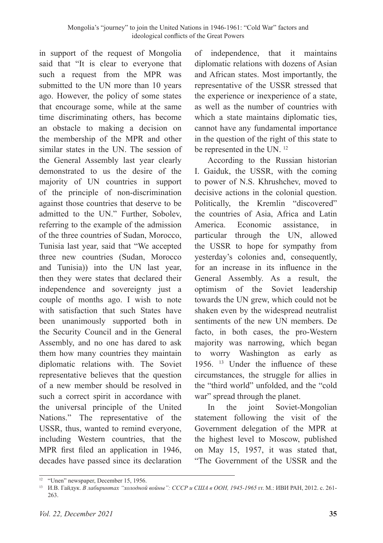in support of the request of Mongolia said that "It is clear to everyone that such a request from the MPR was submitted to the UN more than 10 years ago. However, the policy of some states that encourage some, while at the same time discriminating others, has become an obstacle to making a decision on the membership of the MPR and other similar states in the UN. The session of the General Assembly last year clearly demonstrated to us the desire of the majority of UN countries in support of the principle of non-discrimination against those countries that deserve to be admitted to the UN." Further, Sobolev, referring to the example of the admission of the three countries of Sudan, Morocco, Tunisia last year, said that "We accepted three new countries (Sudan, Morocco and Tunisia)) into the UN last year, then they were states that declared their independence and sovereignty just a couple of months ago. I wish to note with satisfaction that such States have been unanimously supported both in the Security Council and in the General Assembly, and no one has dared to ask them how many countries they maintain diplomatic relations with. The Soviet representative believes that the question of a new member should be resolved in such a correct spirit in accordance with the universal principle of the United Nations." The representative of the USSR, thus, wanted to remind everyone, including Western countries, that the MPR first filed an application in 1946, decades have passed since its declaration

of independence, that it maintains diplomatic relations with dozens of Asian and African states. Most importantly, the representative of the USSR stressed that the experience or inexperience of a state, as well as the number of countries with which a state maintains diplomatic ties, cannot have any fundamental importance in the question of the right of this state to be represented in the UN. 12

According to the Russian historian I. Gaiduk, the USSR, with the coming to power of N.S. Khrushchev, moved to decisive actions in the colonial question. Politically, the Kremlin "discovered" the countries of Asia, Africa and Latin America. Economic assistance, in particular through the UN, allowed the USSR to hope for sympathy from yesterday's colonies and, consequently, for an increase in its influence in the General Assembly. As a result, the optimism of the Soviet leadership towards the UN grew, which could not be shaken even by the widespread neutralist sentiments of the new UN members. De facto, in both cases, the pro-Western majority was narrowing, which began to worry Washington as early as 1956. 13 Under the influence of these circumstances, the struggle for allies in the "third world" unfolded, and the "cold war" spread through the planet.

In the joint Soviet-Mongolian statement following the visit of the Government delegation of the MPR at the highest level to Moscow, published on May 15, 1957, it was stated that, "The Government of the USSR and the

<sup>&</sup>lt;sup>12</sup> "Unen" newspaper, December 15, 1956.

<sup>13</sup> И.В. Гайдук. *В лабиринтах "холодной войны": СССР и США в ООН, 1945-1965* гг. М.: ИВИ РАН, 2012. с. 261- 263.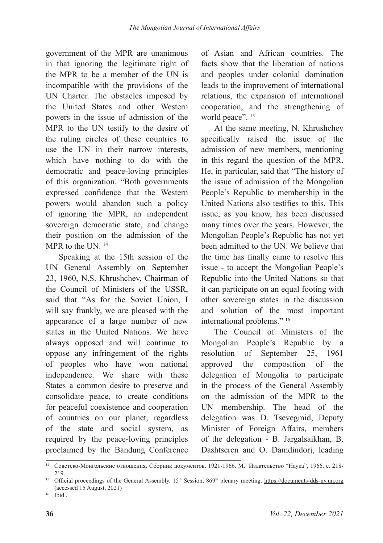government of the MPR are unanimous in that ignoring the legitimate right of the MPR to be a member of the UN is incompatible with the provisions of the UN Charter. The obstacles imposed by the United States and other Western powers in the issue of admission of the MPR to the UN testify to the desire of the ruling circles of these countries to use the UN in their narrow interests, which have nothing to do with the democratic and peace-loving principles of this organization. "Both governments expressed confidence that the Western powers would abandon such a policy of ignoring the MPR, an independent sovereign democratic state, and change their position on the admission of the MPR to the UN. <sup>14</sup>

Speaking at the 15th session of the UN General Assembly on September 23, 1960, N.S. Khrushchev, Chairman of the Council of Ministers of the USSR, said that "As for the Soviet Union, I will say frankly, we are pleased with the appearance of a large number of new states in the United Nations. We have always opposed and will continue to oppose any infringement of the rights of peoples who have won national independence. We share with these States a common desire to preserve and consolidate peace, to create conditions for peaceful coexistence and cooperation of countries on our planet, regardless of the state and social system, as required by the peace-loving principles proclaimed by the Bandung Conference

of Asian and African countries. The facts show that the liberation of nations and peoples under colonial domination leads to the improvement of international relations, the expansion of international cooperation, and the strengthening of world peace". <sup>15</sup>

At the same meeting, N. Khrushchev specifically raised the issue of the admission of new members, mentioning in this regard the question of the MPR. He, in particular, said that "The history of the issue of admission of the Mongolian People's Republic to membership in the United Nations also testifies to this. This issue, as you know, has been discussed many times over the years. However, the Mongolian People's Republic has not yet been admitted to the UN. We believe that the time has finally came to resolve this issue - to accept the Mongolian People's Republic into the United Nations so that it can participate on an equal footing with other sovereign states in the discussion and solution of the most important international problems." 16

The Council of Ministers of the Mongolian People's Republic by a resolution of September 25, 1961 approved the composition of the delegation of Mongolia to participate in the process of the General Assembly on the admission of the MPR to the UN membership. The head of the delegation was D. Tsevegmid, Deputy Minister of Foreign Affairs, members of the delegation - B. Jargalsaikhan, B. Dashtseren and O. Damdindorj, leading

<sup>14</sup> Советско-Монгольские отношения. Сборник документов. 1921-1966. М.: Издательство "Наука", 1966. с. 218- 219.

<sup>&</sup>lt;sup>15</sup> Official proceedings of the General Assembly. 15<sup>th</sup> Session, 869<sup>th</sup> plenary meeting. https://documents-dds-ny.un.org (accessed 15 August, 2021)

<sup>16</sup> Ibid..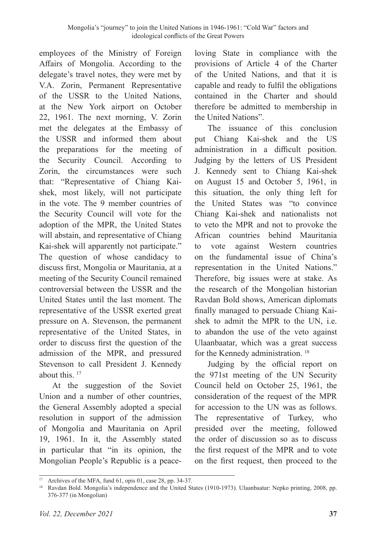employees of the Ministry of Foreign Affairs of Mongolia. According to the delegate's travel notes, they were met by V.A. Zorin, Permanent Representative of the USSR to the United Nations, at the New York airport on October 22, 1961. The next morning, V. Zorin met the delegates at the Embassy of the USSR and informed them about the preparations for the meeting of the Security Council. According to Zorin, the circumstances were such that: "Representative of Chiang Kaishek, most likely, will not participate in the vote. The 9 member countries of the Security Council will vote for the adoption of the MPR, the United States will abstain, and representative of Chiang Kai-shek will apparently not participate." The question of whose candidacy to discuss first, Mongolia or Mauritania, at a meeting of the Security Council remained controversial between the USSR and the United States until the last moment. The representative of the USSR exerted great pressure on A. Stevenson, the permanent representative of the United States, in order to discuss first the question of the admission of the MPR, and pressured Stevenson to call President J. Kennedy about this. 17

At the suggestion of the Soviet Union and a number of other countries, the General Assembly adopted a special resolution in support of the admission of Mongolia and Mauritania on April 19, 1961. In it, the Assembly stated in particular that "in its opinion, the Mongolian People's Republic is a peaceloving State in compliance with the provisions of Article 4 of the Charter of the United Nations, and that it is capable and ready to fulfil the obligations contained in the Charter and should therefore be admitted to membership in the United Nations".

The issuance of this conclusion put Chiang Kai-shek and the US administration in a difficult position. Judging by the letters of US President J. Kennedy sent to Chiang Kai-shek on August 15 and October 5, 1961, in this situation, the only thing left for the United States was "to convince Chiang Kai-shek and nationalists not to veto the MPR and not to provoke the African countries behind Mauritania to vote against Western countries on the fundamental issue of China's representation in the United Nations." Therefore, big issues were at stake. As the research of the Mongolian historian Ravdan Bold shows, American diplomats finally managed to persuade Chiang Kaishek to admit the MPR to the UN, i.e. to abandon the use of the veto against Ulaanbaatar, which was a great success for the Kennedy administration. 18

Judging by the official report on the 971st meeting of the UN Security Council held on October 25, 1961, the consideration of the request of the MPR for accession to the UN was as follows. The representative of Turkey, who presided over the meeting, followed the order of discussion so as to discuss the first request of the MPR and to vote on the first request, then proceed to the

<sup>&</sup>lt;sup>17</sup> Archives of the MFA, fund 61, opis 01, case 28, pp. 34-37.

<sup>18</sup> Ravdan Bold. Mongolia's independence and the United States (1910-1973). Ulaanbaatar: Nepko printing, 2008, pp. 376-377 (in Mongolian)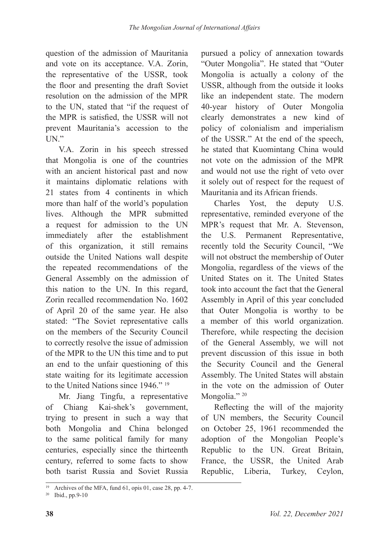question of the admission of Mauritania and vote on its acceptance. V.A. Zorin, the representative of the USSR, took the floor and presenting the draft Soviet resolution on the admission of the MPR to the UN, stated that "if the request of the MPR is satisfied, the USSR will not prevent Mauritania's accession to the UN."

V.A. Zorin in his speech stressed that Mongolia is one of the countries with an ancient historical past and now it maintains diplomatic relations with 21 states from 4 continents in which more than half of the world's population lives. Although the MPR submitted a request for admission to the UN immediately after the establishment of this organization, it still remains outside the United Nations wall despite the repeated recommendations of the General Assembly on the admission of this nation to the UN. In this regard, Zorin recalled recommendation No. 1602 of April 20 of the same year. He also stated: "The Soviet representative calls on the members of the Security Council to correctly resolve the issue of admission of the MPR to the UN this time and to put an end to the unfair questioning of this state waiting for its legitimate accession to the United Nations since 1946." 19

Mr. Jiang Tingfu, a representative of Chiang Kai-shek's government, trying to present in such a way that both Mongolia and China belonged to the same political family for many centuries, especially since the thirteenth century, referred to some facts to show both tsarist Russia and Soviet Russia pursued a policy of annexation towards "Outer Mongolia". He stated that "Outer Mongolia is actually a colony of the USSR, although from the outside it looks like an independent state. The modern 40-year history of Outer Mongolia clearly demonstrates a new kind of policy of colonialism and imperialism of the USSR." At the end of the speech, he stated that Kuomintang China would not vote on the admission of the MPR and would not use the right of veto over it solely out of respect for the request of Mauritania and its African friends.

Charles Yost, the deputy U.S. representative, reminded everyone of the MPR's request that Mr. A. Stevenson, the U.S. Permanent Representative, recently told the Security Council, "We will not obstruct the membership of Outer Mongolia, regardless of the views of the United States on it. The United States took into account the fact that the General Assembly in April of this year concluded that Outer Mongolia is worthy to be a member of this world organization. Therefore, while respecting the decision of the General Assembly, we will not prevent discussion of this issue in both the Security Council and the General Assembly. The United States will abstain in the vote on the admission of Outer Mongolia."<sup>20</sup>

Reflecting the will of the majority of UN members, the Security Council on October 25, 1961 recommended the adoption of the Mongolian People's Republic to the UN. Great Britain, France, the USSR, the United Arab Republic, Liberia, Turkey, Ceylon,

<sup>19</sup> Archives of the MFA, fund 61, opis 01, case 28, pp. 4-7.

<sup>20</sup> Ibid., pp.9-10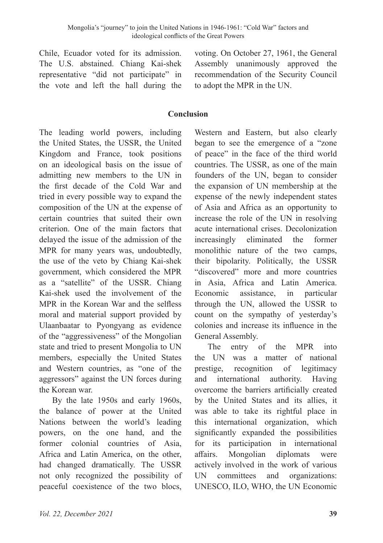Chile, Ecuador voted for its admission. The U.S. abstained. Chiang Kai-shek representative "did not participate" in the vote and left the hall during the

voting. On October 27, 1961, the General Assembly unanimously approved the recommendation of the Security Council to adopt the MPR in the UN.

#### **Conclusion**

The leading world powers, including the United States, the USSR, the United Kingdom and France, took positions on an ideological basis on the issue of admitting new members to the UN in the first decade of the Cold War and tried in every possible way to expand the composition of the UN at the expense of certain countries that suited their own criterion. One of the main factors that delayed the issue of the admission of the MPR for many years was, undoubtedly, the use of the veto by Chiang Kai-shek government, which considered the MPR as a "satellite" of the USSR. Chiang Kai-shek used the involvement of the MPR in the Korean War and the selfless moral and material support provided by Ulaanbaatar to Pyongyang as evidence of the "aggressiveness" of the Mongolian state and tried to present Mongolia to UN members, especially the United States and Western countries, as "one of the aggressors" against the UN forces during the Korean war.

By the late 1950s and early 1960s, the balance of power at the United Nations between the world's leading powers, on the one hand, and the former colonial countries of Asia, Africa and Latin America, on the other, had changed dramatically. The USSR not only recognized the possibility of peaceful coexistence of the two blocs,

Western and Eastern, but also clearly began to see the emergence of a "zone of peace" in the face of the third world countries. The USSR, as one of the main founders of the UN, began to consider the expansion of UN membership at the expense of the newly independent states of Asia and Africa as an opportunity to increase the role of the UN in resolving acute international crises. Decolonization increasingly eliminated the former monolithic nature of the two camps, their bipolarity. Politically, the USSR "discovered" more and more countries in Asia, Africa and Latin America. Economic assistance, in particular through the UN, allowed the USSR to count on the sympathy of yesterday's colonies and increase its influence in the General Assembly.

The entry of the MPR into the UN was a matter of national prestige, recognition of legitimacy and international authority. Having overcome the barriers artificially created by the United States and its allies, it was able to take its rightful place in this international organization, which significantly expanded the possibilities for its participation in international affairs. Mongolian diplomats were actively involved in the work of various UN committees and organizations: UNESCO, ILO, WHO, the UN Economic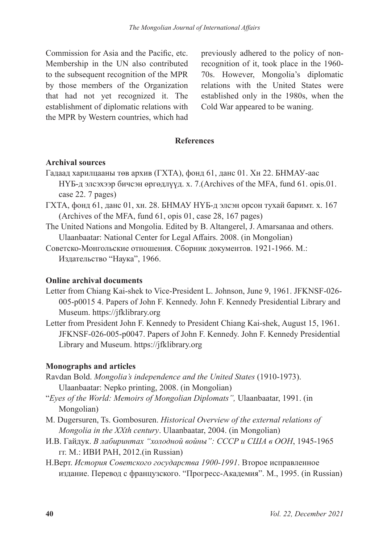Commission for Asia and the Pacific, etc. Membership in the UN also contributed to the subsequent recognition of the MPR by those members of the Organization that had not yet recognized it. The establishment of diplomatic relations with the MPR by Western countries, which had

previously adhered to the policy of nonrecognition of it, took place in the 1960- 70s. However, Mongolia's diplomatic relations with the United States were established only in the 1980s, when the Cold War appeared to be waning.

## **References**

## **Archival sources**

- Гадаад харилцааны төв архив (ГХТА), фонд 61, данс 01. Хн 22. БНМАУ-аас НҮБ-д элсэхээр бичсэн өргөдлүүд. х. 7.(Archives of the MFA, fund 61. opis.01. case 22. 7 pages)
- ГХТА, фонд 61, данс 01, хн. 28. БНМАУ НҮБ-д элсэн орсон тухай баримт. х. 167 (Archives of the MFA, fund 61, opis 01, case 28, 167 pages)
- The United Nations and Mongolia. Edited by B. Altangerel, J. Amarsanaa and others. Ulaanbaatar: National Center for Legal Affairs. 2008. (in Mongolian)
- Советско-Монгольские отношения. Сборник документов. 1921-1966. М.: Издательство "Наука", 1966.

#### **Online archival documents**

- Letter from Chiang Kai-shek to Vice-President L. Johnson, June 9, 1961. JFKNSF-026- 005-p0015 4. Papers of John F. Kennedy. John F. Kennedy Presidential Library and Museum. https://jfklibrary.org
- Letter from President John F. Kennedy to President Chiang Kai-shek, August 15, 1961. JFKNSF-026-005-p0047. Papers of John F. Kennedy. John F. Kennedy Presidential Library and Museum. https://jfklibrary.org

# **Monographs and articles**

- Ravdan Bold. *Mongolia's independence and the United States* (1910-1973). Ulaanbaatar: Nepko printing, 2008. (in Mongolian)
- "*Eyes of the World: Memoirs of Mongolian Diplomats",* Ulaanbaatar, 1991. (in Mongolian)
- M. Dugersuren, Ts. Gombosuren. *Historical Overview of the external relations of Mongolia in the XXth century*. Ulaanbaatar, 2004. (in Mongolian)
- И.В. Гайдук. *В лабиринтах "холодной войны": СССР и США в ООН*, 1945-1965 гг. М.: ИВИ РАН, 2012.(in Russian)
- Н.Верт. *История Советского государства 1900-1991*. Второе исправленное издание. Перевод с французского. "Прогресс-Академия". М., 1995. (in Russian)